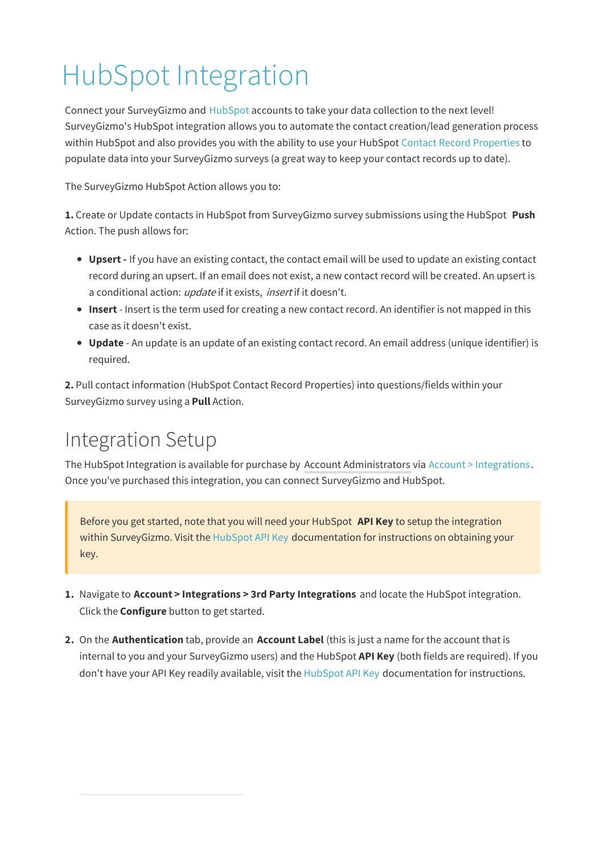# HubSpot Integration

Connect your SurveyGizmo and HubSpot accounts to take your data collection to the next level! SurveyGizmo's HubSpot integration allows you to automate the contact creation/lead generation process within HubSpot and also provides you with the ability to use your HubSpot Contact Record Properties to populate data into your SurveyGizmo surveys (a great way to keep your contact records up to date).

The SurveyGizmo HubSpot Action allows you to:

**1.** Create or Update contacts in HubSpot from SurveyGizmo survey submissions using the HubSpot **Push** Action. The push allows for:

- **Upsert -** If you have an existing contact, the contact email will be used to update an existing contact record during an upsert. If an email does not exist, a new contact record will be created. An upsert is a conditional action: update if it exists, insert if it doesn't.
- **Insert** Insert is the term used for creating a new contact record. An identifier is not mapped in this case as it doesn't exist.
- **Update** An update is an update of an existing contact record. An email address (unique identifier) is required.

**2.** Pull contact information (HubSpot Contact Record Properties) into questions/fields within your SurveyGizmo survey using a **Pull** Action.

### Integration Setup

The HubSpot Integration is available for purchase by Account Administrators via Account > Integrations. Once you've purchased this integration, you can connect SurveyGizmo and HubSpot.

Before you get started, note that you will need your HubSpot **API Key** to setup the integration within SurveyGizmo. Visit the HubSpot API Key documentation for instructions on obtaining your key.

- **1.** Navigate to **Account > Integrations > 3rd Party Integrations** and locate the HubSpot integration. Click the **Configure** button to get started.
- **2.** On the **Authentication** tab, provide an **Account Label** (this is just a name for the account that is internal to you and your SurveyGizmo users) and the HubSpot **API Key** (both fields are required). If you don't have your API Key readily available, visit the HubSpot API Key documentation for instructions.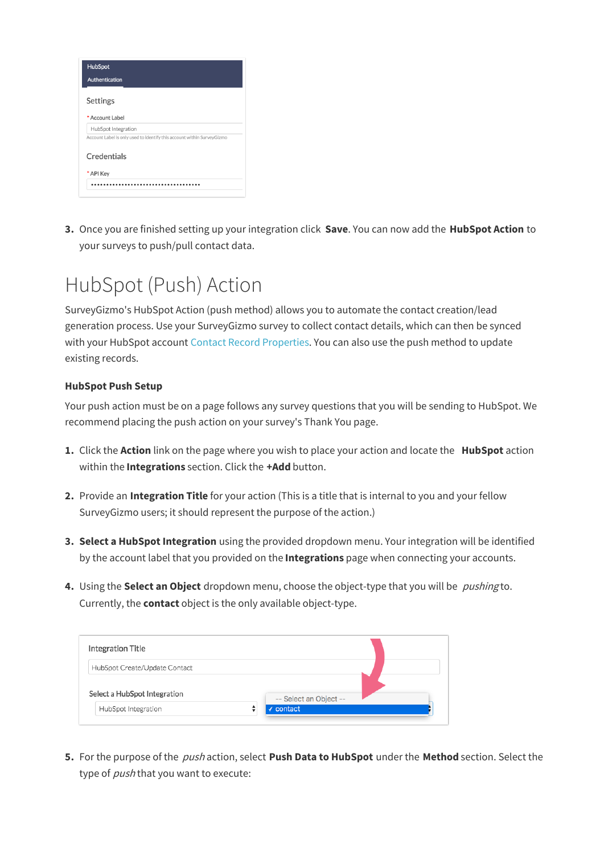| Authentication<br>Settings<br>* Account Label<br>HubSpot Integration<br>Account Label is only used to identify this account within SurveyGizmo |
|------------------------------------------------------------------------------------------------------------------------------------------------|
|                                                                                                                                                |
|                                                                                                                                                |
|                                                                                                                                                |
|                                                                                                                                                |
|                                                                                                                                                |
| Credentials                                                                                                                                    |
| * API Key                                                                                                                                      |
|                                                                                                                                                |

**3.** Once you are finished setting up your integration click **Save**. You can now add the **HubSpot Action** to your surveys to push/pull contact data.

# HubSpot (Push) Action

SurveyGizmo's HubSpot Action (push method) allows you to automate the contact creation/lead generation process. Use your SurveyGizmo survey to collect contact details, which can then be synced with your HubSpot account Contact Record Properties. You can also use the push method to update existing records.

#### **HubSpot Push Setup**

Your push action must be on a page follows any survey questions that you will be sending to HubSpot. We recommend placing the push action on your survey's Thank You page.

- **1.** Click the **Action** link on the page where you wish to place your action and locate the **HubSpot** action within the **Integrations** section. Click the **+Add** button.
- **2.** Provide an **Integration Title** for your action (This is a title that is internal to you and your fellow SurveyGizmo users; it should represent the purpose of the action.)
- **3. Select a HubSpot Integration** using the provided dropdown menu. Your integration will be identified by the account label that you provided on the **Integrations** page when connecting your accounts.
- **4.** Using the **Select an Object** dropdown menu, choose the object-type that you will be pushing to. Currently, the **contact** object is the only available object-type.

| Integration Title             |                        |  |
|-------------------------------|------------------------|--|
| HubSpot Create/Update Contact |                        |  |
| Select a HubSpot Integration  | -- Select an Object -- |  |
| HubSpot Integration           | √ contact              |  |

**5.** For the purpose of the push action, select **Push Data to HubSpot** under the **Method** section. Select the type of *push* that you want to execute: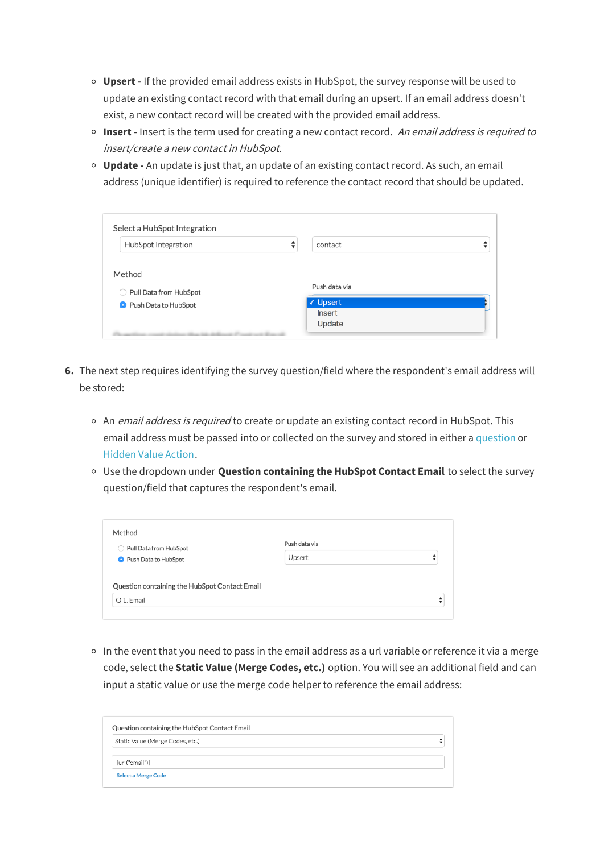- **Upsert -** If the provided email address exists in HubSpot, the survey response will be used to update an existing contact record with that email during an upsert. If an email address doesn't exist, a new contact record will be created with the provided email address.
- **Insert -** Insert is the term used for creating a new contact record. An email address is required to insert/create <sup>a</sup> new contact in HubSpot.
- **Update -** An update is just that, an update of an existing contact record. As such, an email address (unique identifier) is required to reference the contact record that should be updated.

| HubSpot Integration    | ÷<br>contact  |  |
|------------------------|---------------|--|
| Method                 |               |  |
| Pull Data from HubSpot | Push data via |  |
|                        |               |  |
|                        | √ Upsert      |  |
| Push Data to HubSpot   | Insert        |  |

- **6.** The next step requires identifying the survey question/field where the respondent's email address will be stored:
	- <sup>o</sup> An *email address is required* to create or update an existing contact record in HubSpot. This email address must be passed into or collected on the survey and stored in either a question or Hidden Value Action.
	- Use the dropdown under **Question containing the HubSpot Contact Email** to select the survey question/field that captures the respondent's email.

| Pull Data from HubSpot                        | Push data via |  |
|-----------------------------------------------|---------------|--|
| <b>O</b> Push Data to HubSpot                 | Upsert        |  |
|                                               |               |  |
| Question containing the HubSpot Contact Email |               |  |
|                                               |               |  |

 $\circ$  In the event that you need to pass in the email address as a url variable or reference it via a merge code, select the **Static Value (Merge Codes, etc.)** option. You will see an additional field and can input a static value or use the merge code helper to reference the email address:

| Question containing the HubSpot Contact Email |  |
|-----------------------------------------------|--|
| Static Value (Merge Codes, etc.)              |  |
| [url("email")]                                |  |
| <b>Select a Merge Code</b>                    |  |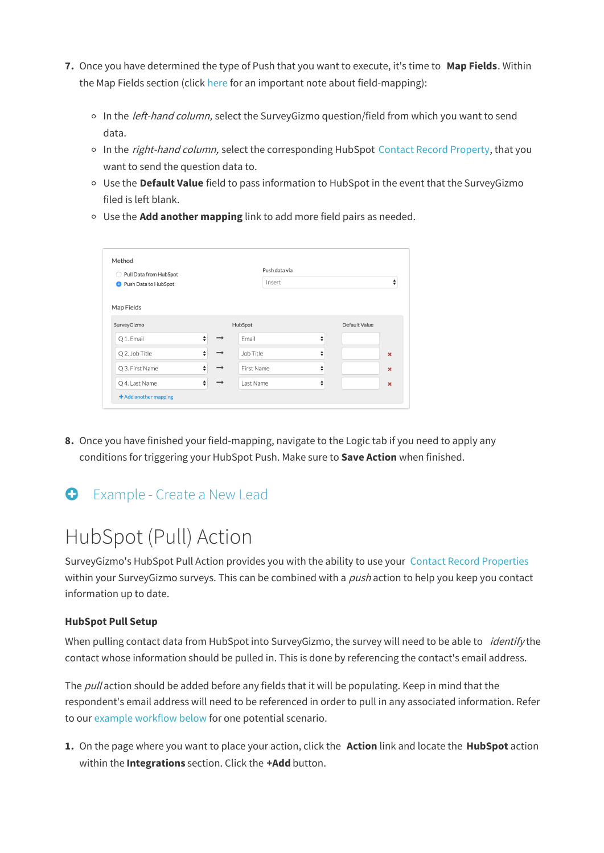- **7.** Once you have determined the type of Push that you want to execute, it's time to **Map Fields**. Within the Map Fields section (click here for an important note about field-mapping):
	- In the *left-hand column*, select the SurveyGizmo question/field from which you want to send data.
	- <sup>o</sup> In the *right-hand column*, select the corresponding HubSpot Contact Record Property, that you want to send the question data to.
	- Use the **Default Value** field to pass information to HubSpot in the event that the SurveyGizmo filed is left blank.
	- Use the **Add another mapping** link to add more field pairs as needed.

| ◯ Pull Data from HubSpot      |        |               |            | Push data via |   |               |                   |
|-------------------------------|--------|---------------|------------|---------------|---|---------------|-------------------|
| <b>O</b> Push Data to HubSpot |        |               |            | Insert        |   |               | ▲<br>$\mathbf{v}$ |
| Map Fields                    |        |               |            |               |   |               |                   |
| SurveyGizmo                   |        |               | HubSpot    |               |   | Default Value |                   |
| Q 1. Email                    | ÷      | $\rightarrow$ | Email      |               | ÷ |               |                   |
| Q 2. Job Title                | $\div$ | →             | Job Title  |               | ⇡ |               | $\pmb{\times}$    |
| Q 3. First Name               | ÷      | $\rightarrow$ | First Name |               | ÷ |               | $\mathbf x$       |
| Q 4. Last Name                | $\div$ | ᅳ             | Last Name  |               | ÷ |               | $\pmb{\times}$    |

**8.** Once you have finished your field-mapping, navigate to the Logic tab if you need to apply any conditions for triggering your HubSpot Push. Make sure to **Save Action** when finished.

### Example - Create a New Lead

### HubSpot (Pull) Action

SurveyGizmo's HubSpot Pull Action provides you with the ability to use your Contact Record Properties within your SurveyGizmo surveys. This can be combined with a *push* action to help you keep you contact information up to date.

#### **HubSpot Pull Setup**

When pulling contact data from HubSpot into SurveyGizmo, the survey will need to be able to *identify* the contact whose information should be pulled in. This is done by referencing the contact's email address.

The pull action should be added before any fields that it will be populating. Keep in mind that the respondent's email address will need to be referenced in order to pull in any associated information. Refer to our example workflow below for one potential scenario.

**1.** On the page where you want to place your action, click the **Action** link and locate the **HubSpot** action within the **Integrations** section. Click the **+Add** button.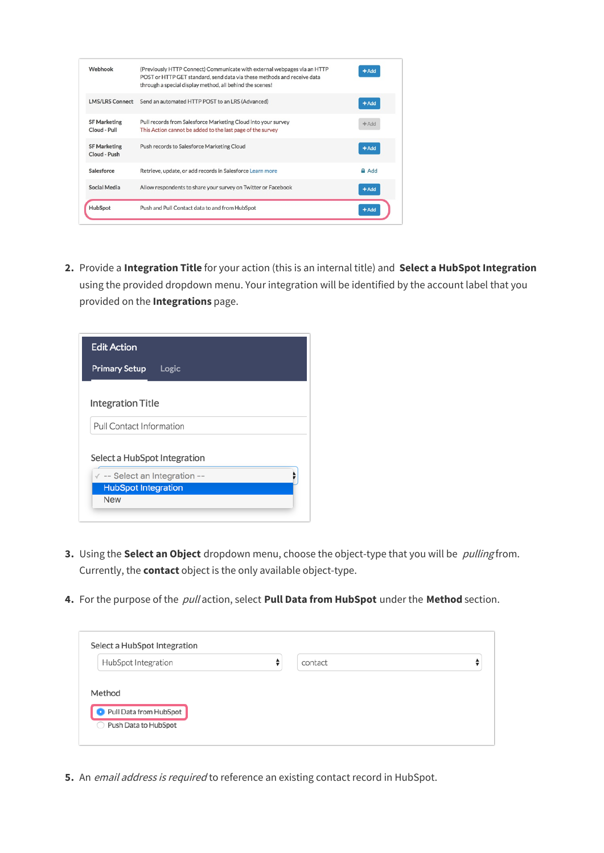| Webhook                             | (Previously HTTP Connect) Communicate with external webpages via an HTTP<br>POST or HTTP GET standard, send data via these methods and receive data<br>through a special display method, all behind the scenes! | $+$ Add |
|-------------------------------------|-----------------------------------------------------------------------------------------------------------------------------------------------------------------------------------------------------------------|---------|
| <b>LMS/LRS Connect</b>              | Send an automated HTTP POST to an LRS (Advanced)                                                                                                                                                                | $+$ Add |
| <b>SF Marketing</b><br>Cloud - Pull | Pull records from Salesforce Marketing Cloud into your survey<br>This Action cannot be added to the last page of the survey                                                                                     | $+Add$  |
| <b>SF Marketing</b><br>Cloud - Push | Push records to Salesforce Marketing Cloud                                                                                                                                                                      | $+$ Add |
| Salesforce                          | Retrieve, update, or add records in Salesforce Learn more                                                                                                                                                       | Add     |
| Social Media                        | Allow respondents to share your survey on Twitter or Facebook                                                                                                                                                   | $+$ Add |
| HubSpot                             | Push and Pull Contact data to and from HubSpot                                                                                                                                                                  | $+$ Add |

**2.** Provide a **Integration Title** for your action (this is an internal title) and **Select a HubSpot Integration** using the provided dropdown menu. Your integration will be identified by the account label that you provided on the **Integrations** page.



- **3.** Using the **Select an Object** dropdown menu, choose the object-type that you will be pulling from. Currently, the **contact** object is the only available object-type.
- **4.** For the purpose of the pull action, select **Pull Data from HubSpot** under the **Method** section.

| HubSpot Integration    | ÷<br>contact |  |
|------------------------|--------------|--|
|                        |              |  |
|                        |              |  |
| Method                 |              |  |
|                        |              |  |
| Pull Data from HubSpot |              |  |
|                        |              |  |

**5.** An email address is required to reference an existing contact record in HubSpot.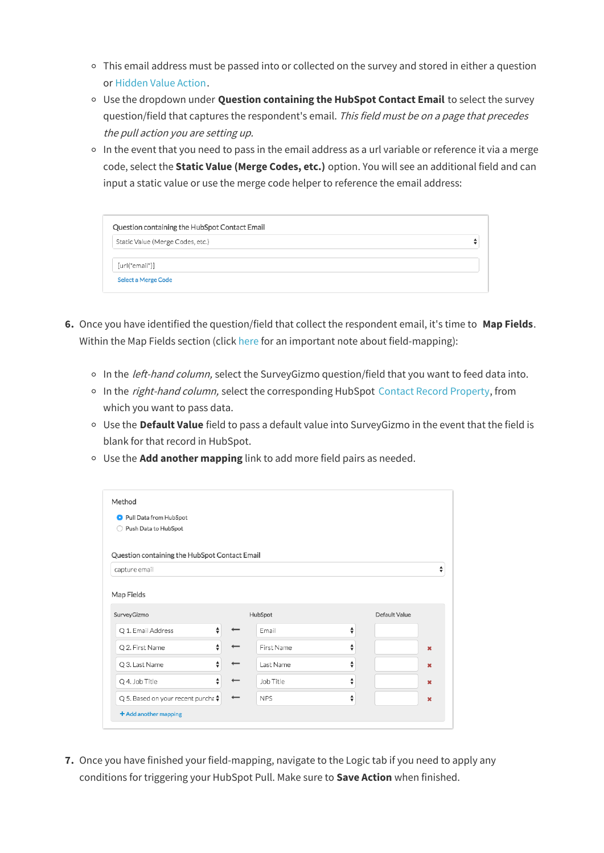- $\circ$  This email address must be passed into or collected on the survey and stored in either a question or Hidden Value Action.
- Use the dropdown under **Question containing the HubSpot Contact Email** to select the survey question/field that captures the respondent's email. This field must be on a page that precedes the pull action you are setting up.
- o In the event that you need to pass in the email address as a url variable or reference it via a merge code, select the **Static Value (Merge Codes, etc.)** option. You will see an additional field and can input a static value or use the merge code helper to reference the email address:

| Static Value (Merge Codes, etc.) |  |
|----------------------------------|--|
|                                  |  |
| [url("email")]                   |  |

- **6.** Once you have identified the question/field that collect the respondent email, it's time to **Map Fields**. Within the Map Fields section (click here for an important note about field-mapping):
	- o In the *left-hand column*, select the SurveyGizmo question/field that you want to feed data into.
	- o In the right-hand column, select the corresponding HubSpot Contact Record Property, from which you want to pass data.
	- Use the **Default Value** field to pass a default value into SurveyGizmo in the event that the field is blank for that record in HubSpot.
	- Use the **Add another mapping** link to add more field pairs as needed.

| Pull Data from HubSpot                        |   |            |   |               |                           |
|-----------------------------------------------|---|------------|---|---------------|---------------------------|
| Push Data to HubSpot<br>∩                     |   |            |   |               |                           |
|                                               |   |            |   |               |                           |
| Question containing the HubSpot Contact Email |   |            |   |               |                           |
| capture email                                 |   |            |   |               |                           |
|                                               |   |            |   |               |                           |
|                                               |   |            |   |               |                           |
| Map Fields                                    |   |            |   |               |                           |
| SurveyGizmo                                   |   | HubSpot    |   | Default Value |                           |
| Q 1. Email Address                            | ♦ | Email      | ♦ |               |                           |
| Q 2. First Name                               | ♦ | First Name | ♦ |               | $\boldsymbol{\mathsf{x}}$ |
| Q 3. Last Name                                | ♦ | Last Name  | ♦ |               | ×                         |
| Q 4. Job Title                                | ♦ | Job Title  | ♦ |               | $\boldsymbol{\mathsf{x}}$ |

**7.** Once you have finished your field-mapping, navigate to the Logic tab if you need to apply any conditions for triggering your HubSpot Pull. Make sure to **Save Action** when finished.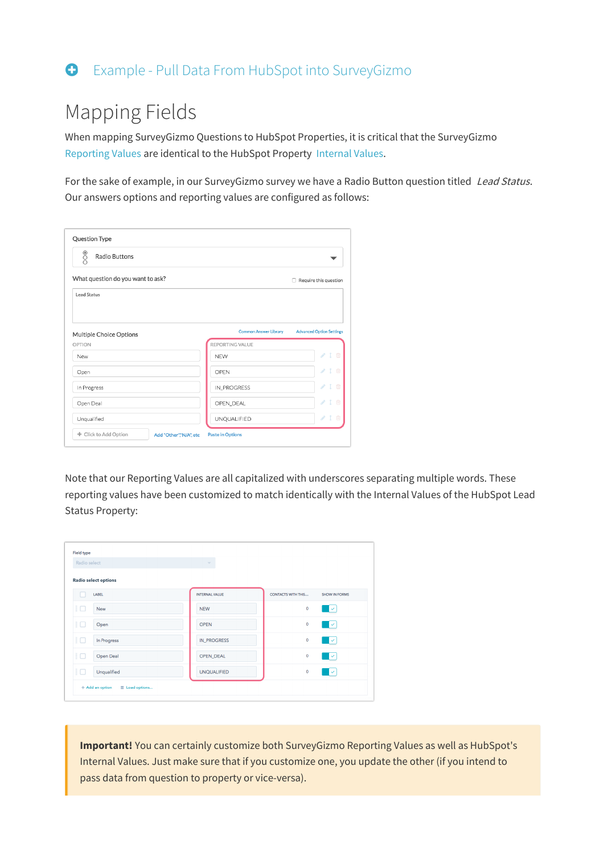### Example - Pull Data From HubSpot into SurveyGizmo

### Mapping Fields

When mapping SurveyGizmo Questions to HubSpot Properties, it is critical that the SurveyGizmo Reporting Values are identical to the HubSpot Property Internal Values.

For the sake of example, in our SurveyGizmo survey we have a Radio Button question titled Lead Status. Our answers options and reporting values are configured as follows:

| $\frac{1}{2}$<br>Radio Buttons    |                                                          |
|-----------------------------------|----------------------------------------------------------|
| What question do you want to ask? | $\Box$ Require this question                             |
| Lead Status                       |                                                          |
|                                   |                                                          |
| Multiple Choice Options           | Common Answer Library<br><b>Advanced Option Settings</b> |
|                                   |                                                          |
| OPTION                            | REPORTING VALUE                                          |
| New                               | Í<br>$\mathbf{I}$<br>面<br><b>NEW</b>                     |
| Open                              | Í<br>面<br>OPEN                                           |
| In Progress                       | Í<br>$\mathbf{I}$<br>面<br>IN_PROGRESS                    |
| Open Deal                         | $\boldsymbol{\delta}^{\prime}$<br>面<br>OPEN_DEAL         |

Note that our Reporting Values are all capitalized with underscores separating multiple words. These reporting values have been customized to match identically with the Internal Values of the HubSpot Lead Status Property:

| Radio select                | $\overline{\phantom{a}}$ |                           |                      |
|-----------------------------|--------------------------|---------------------------|----------------------|
| <b>Radio select options</b> |                          |                           |                      |
| <b>LABEL</b>                | <b>INTERNAL VALUE</b>    | <b>CONTACTS WITH THIS</b> | <b>SHOW IN FORMS</b> |
| E (<br>New                  | <b>NEW</b>               | $\bf{0}$                  | $\checkmark$         |
| Ħ<br>Open                   | <b>OPEN</b>              | $\mathbf 0$               | $\checkmark$         |
| ŧΟ<br>In Progress           | <b>IN_PROGRESS</b>       | $\mathbf 0$               | ╹                    |
| Ħ<br>Open Deal              | OPEN_DEAL                | $\mathbf 0$               | l v                  |
| ŧΟ<br>Unqualified           | <b>UNQUALIFIED</b>       | $\bf{0}$                  | $\checkmark$         |

**Important!** You can certainly customize both SurveyGizmo Reporting Values as well as HubSpot's Internal Values. Just make sure that if you customize one, you update the other (if you intend to pass data from question to property or vice-versa).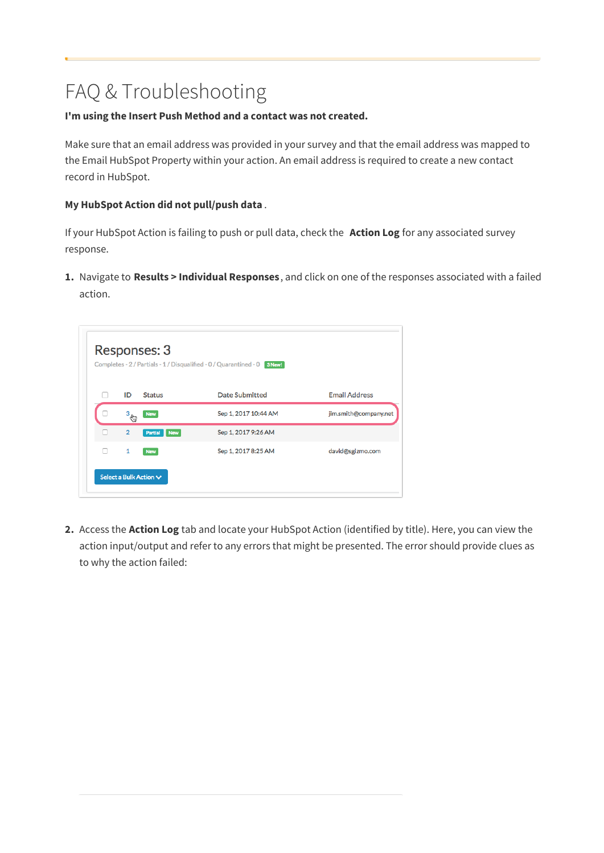## FAQ & Troubleshooting

### **I'm using the Insert Push Method and a contact was not created.**

Make sure that an email address was provided in your survey and that the email address was mapped to the Email HubSpot Property within your action. An email address is required to create a new contact record in HubSpot.

### **My HubSpot Action did not pull/push data** .

If your HubSpot Action is failing to push or pull data, check the **Action Log** for any associated survey response.

**1.** Navigate to **Results > Individual Responses**, and click on one of the responses associated with a failed action.



**2.** Access the **Action Log** tab and locate your HubSpot Action (identified by title). Here, you can view the action input/output and refer to any errors that might be presented. The error should provide clues as to why the action failed: